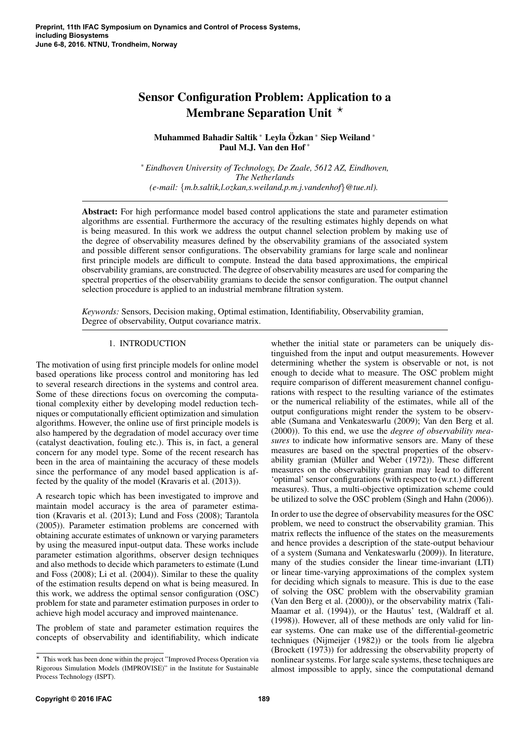# Sensor Configuration Problem: Application to a Membrane Separation Unit  $\star$

Muhammed Bahadir Saltik <sup>∗</sup> Leyla Özkan <sup>∗</sup> Siep Weiland <sup>∗</sup> Paul M.J. Van den Hof <sup>∗</sup>

<sup>∗</sup> *Eindhoven University of Technology, De Zaale, 5612 AZ, Eindhoven, The Netherlands (e-mail:* {*m.b.saltik,l.ozkan,s.weiland,p.m.j.vandenhof*}*@tue.nl).*

Abstract: For high performance model based control applications the state and parameter estimation algorithms are essential. Furthermore the accuracy of the resulting estimates highly depends on what is being measured. In this work we address the output channel selection problem by making use of the degree of observability measures defined by the observability gramians of the associated system and possible different sensor configurations. The observability gramians for large scale and nonlinear first principle models are difficult to compute. Instead the data based approximations, the empirical observability gramians, are constructed. The degree of observability measures are used for comparing the spectral properties of the observability gramians to decide the sensor configuration. The output channel selection procedure is applied to an industrial membrane filtration system.

*Keywords:* Sensors, Decision making, Optimal estimation, Identifiability, Observability gramian, Degree of observability, Output covariance matrix.

# 1. INTRODUCTION

The motivation of using first principle models for online model based operations like process control and monitoring has led to several research directions in the systems and control area. Some of these directions focus on overcoming the computational complexity either by developing model reduction techniques or computationally efficient optimization and simulation algorithms. However, the online use of first principle models is also hampered by the degradation of model accuracy over time (catalyst deactivation, fouling etc.). This is, in fact, a general concern for any model type. Some of the recent research has been in the area of maintaining the accuracy of these models since the performance of any model based application is affected by the quality of the model (Kravaris et al. (2013)).

A research topic which has been investigated to improve and maintain model accuracy is the area of parameter estimation (Kravaris et al. (2013); Lund and Foss (2008); Tarantola (2005)). Parameter estimation problems are concerned with obtaining accurate estimates of unknown or varying parameters by using the measured input-output data. These works include parameter estimation algorithms, observer design techniques and also methods to decide which parameters to estimate (Lund and Foss (2008); Li et al. (2004)). Similar to these the quality of the estimation results depend on what is being measured. In this work, we address the optimal sensor configuration (OSC) problem for state and parameter estimation purposes in order to achieve high model accuracy and improved maintenance.

The problem of state and parameter estimation requires the concepts of observability and identifiability, which indicate

whether the initial state or parameters can be uniquely distinguished from the input and output measurements. However determining whether the system is observable or not, is not enough to decide what to measure. The OSC problem might require comparison of different measurement channel configurations with respect to the resulting variance of the estimates or the numerical reliability of the estimates, while all of the output configurations might render the system to be observable (Sumana and Venkateswarlu (2009); Van den Berg et al. (2000)). To this end, we use the *degree of observability measures* to indicate how informative sensors are. Many of these measures are based on the spectral properties of the observability gramian (Müller and Weber  $(1972)$ ). These different measures on the observability gramian may lead to different 'optimal' sensor configurations (with respect to (w.r.t.) different measures). Thus, a multi-objective optimization scheme could be utilized to solve the OSC problem (Singh and Hahn (2006)).

In order to use the degree of observability measures for the OSC problem, we need to construct the observability gramian. This matrix reflects the influence of the states on the measurements and hence provides a description of the state-output behaviour of a system (Sumana and Venkateswarlu (2009)). In literature, many of the studies consider the linear time-invariant (LTI) or linear time-varying approximations of the complex system for deciding which signals to measure. This is due to the ease of solving the OSC problem with the observability gramian (Van den Berg et al. (2000)), or the observability matrix (Tali-Maamar et al. (1994)), or the Hautus' test, (Waldraff et al. (1998)). However, all of these methods are only valid for linear systems. One can make use of the differential-geometric techniques (Nijmeijer (1982)) or the tools from lie algebra (Brockett (1973)) for addressing the observability property of nonlinear systems. For large scale systems, these techniques are almost impossible to apply, since the computational demand

<sup>?</sup> This work has been done within the project "Improved Process Operation via Rigorous Simulation Models (IMPROVISE)" in the Institute for Sustainable Process Technology (ISPT).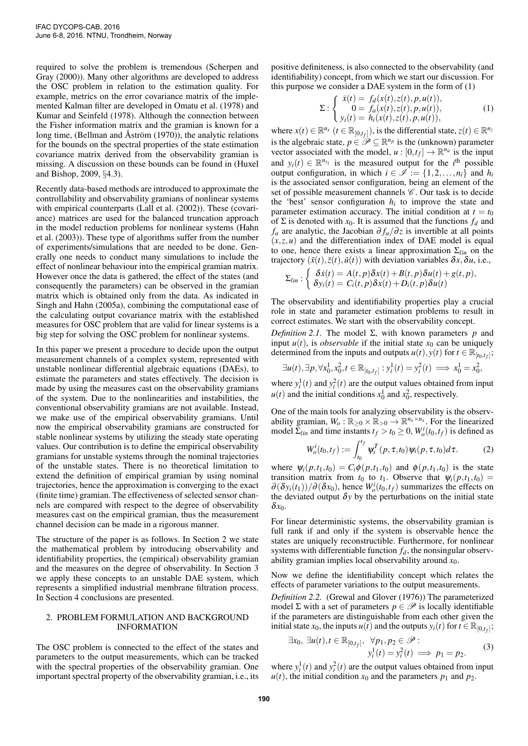required to solve the problem is tremendous (Scherpen and Gray (2000)). Many other algorithms are developed to address the OSC problem in relation to the estimation quality. For example, metrics on the error covariance matrix of the implemented Kalman filter are developed in Omatu et al. (1978) and Kumar and Seinfeld (1978). Although the connection between the Fisher information matrix and the gramian is known for a long time, (Bellman and Åström  $(1970)$ ), the analytic relations for the bounds on the spectral properties of the state estimation covariance matrix derived from the observability gramian is missing. A discussion on these bounds can be found in (Huxel and Bishop, 2009, §4.3).

Recently data-based methods are introduced to approximate the controllability and observability gramians of nonlinear systems with empirical counterparts (Lall et al. (2002)). These (covariance) matrices are used for the balanced truncation approach in the model reduction problems for nonlinear systems (Hahn et al. (2003)). These type of algorithms suffer from the number of experiments/simulations that are needed to be done. Generally one needs to conduct many simulations to include the effect of nonlinear behaviour into the empirical gramian matrix. However once the data is gathered, the effect of the states (and consequently the parameters) can be observed in the gramian matrix which is obtained only from the data. As indicated in Singh and Hahn (2005a), combining the computational ease of the calculating output covariance matrix with the established measures for OSC problem that are valid for linear systems is a big step for solving the OSC problem for nonlinear systems.

In this paper we present a procedure to decide upon the output measurement channels of a complex system, represented with unstable nonlinear differential algebraic equations (DAEs), to estimate the parameters and states effectively. The decision is made by using the measures cast on the observability gramians of the system. Due to the nonlinearities and instabilities, the conventional observability gramians are not available. Instead, we make use of the empirical observability gramians. Until now the empirical observability gramians are constructed for stable nonlinear systems by utilizing the steady state operating values. Our contribution is to define the empirical observability gramians for unstable systems through the nominal trajectories of the unstable states. There is no theoretical limitation to extend the definition of empirical gramian by using nominal trajectories, hence the approximation is converging to the exact (finite time) gramian. The effectiveness of selected sensor channels are compared with respect to the degree of observability measures cast on the empirical gramian, thus the measurement channel decision can be made in a rigorous manner.

The structure of the paper is as follows. In Section 2 we state the mathematical problem by introducing observability and identifiability properties, the (empirical) observability gramian and the measures on the degree of observability. In Section 3 we apply these concepts to an unstable DAE system, which represents a simplified industrial membrane filtration process. In Section 4 conclusions are presented.

# 2. PROBLEM FORMULATION AND BACKGROUND INFORMATION

The OSC problem is connected to the effect of the states and parameters to the output measurements, which can be tracked with the spectral properties of the observability gramian. One important spectral property of the observability gramian, i.e., its

positive definiteness, is also connected to the observability (and identifiability) concept, from which we start our discussion. For this purpose we consider a DAE system in the form of (1)

$$
\Sigma: \begin{cases} \dot{x}(t) = f_d(x(t), z(t), p, u(t)), \\ 0 = f_a(x(t), z(t), p, u(t)), \\ y_i(t) = h_i(x(t), z(t), p, u(t)), \end{cases}
$$
 (1)

where  $x(t) \in \mathbb{R}^{n_x}$   $(t \in \mathbb{R}_{[0,t_f]})$ , is the differential state,  $z(t) \in \mathbb{R}^{n_z}$ is the algebraic state,  $p \in \mathcal{P} \subseteq \mathbb{R}^{n_p}$  is the (unknown) parameter vector associated with the model,  $u : [0,t_f] \to \mathbb{R}^{n_u}$  is the input and  $y_i(t) \in \mathbb{R}^{n_{y_i}}$  is the measured output for the *i*<sup>th</sup> possible output configuration, in which  $i \in \mathcal{I} := \{1, 2, ..., n_i\}$  and  $h_i$ is the associated sensor configuration, being an element of the set of possible measurement channels  $\mathscr C$ . Our task is to decide the 'best' sensor configuration  $h_i$  to improve the state and parameter estimation accuracy. The initial condition at  $t = t_0$ of  $\Sigma$  is denoted with  $x_0$ . It is assumed that the functions  $f_d$  and *f*<sub>a</sub> are analytic, the Jacobian  $\partial f_a / \partial z$  is invertible at all points  $(x, z, u)$  and the differentiation index of DAE model is equal to one, hence there exists a linear approximation Σ*lin* on the trajectory  $(\bar{x}(t),\bar{z}(t),\bar{u}(t))$  with deviation variables  $\delta x, \delta u$ , i.e.,

$$
\Sigma_{lin} : \left\{ \begin{array}{l} \delta \dot{x}(t) = A(t,p) \delta x(t) + B(t,p) \delta u(t) + g(t,p), \\ \delta y_i(t) = C_i(t,p) \delta x(t) + D_i(t,p) \delta u(t) \end{array} \right.
$$

The observability and identifiability properties play a crucial role in state and parameter estimation problems to result in correct estimates. We start with the observability concept.

*Definition 2.1.* The model Σ, with known parameters  *and* input  $u(t)$ , is *observable* if the initial state  $x_0$  can be uniquely determined from the inputs and outputs  $u(t)$ ,  $y(t)$  for  $t \in \mathbb{R}_{[t_0,t_f]}$ ;

$$
\exists u(t), \exists p, \forall x_0^1, x_0^2, t \in \mathbb{R}_{[t_0, t_f]} : y_i^1(t) = y_i^2(t) \implies x_0^1 = x_0^2,
$$

where  $y_i^1(t)$  and  $y_i^2(t)$  are the output values obtained from input  $u(t)$  and the initial conditions  $x_0^1$  and  $x_0^2$ , respectively.

One of the main tools for analyzing observability is the observability gramian,  $W_o: \mathbb{R}_{\geq 0} \times \mathbb{R}_{>0} \to \mathbb{R}^{n_x \times n_x}$ . For the linearized model  $\Sigma_{lin}$  and time instants  $t_f > t_0 \geq 0$ ,  $W_o^i(t_0, t_f)$  is defined as

$$
W_o^i(t_0, t_f) := \int_{t_0}^{t_f} \Psi_i^T(p, \tau, t_0) \Psi_i(p, \tau, t_0) d\tau.
$$
 (2)

where  $\psi_i(p,t_1,t_0) = C_i \phi(p,t_1,t_0)$  and  $\phi(p,t_1,t_0)$  is the state transition matrix from  $t_0$  to  $t_1$ . Observe that  $\psi_i(p,t_1,t_0)$  =  $\partial(\delta y_i(t_1))/\partial(\delta x_0)$ , hence  $W^i_o(t_0,t_f)$  summarizes the effects on the deviated output  $\delta y$  by the perturbations on the initial state δ*x*0.

For linear deterministic systems, the observability gramian is full rank if and only if the system is observable hence the states are uniquely reconstructible. Furthermore, for nonlinear systems with differentiable function *fd*, the nonsingular observability gramian implies local observability around *x*0.

Now we define the identifiability concept which relates the effects of parameter variations to the output measurements.

*Definition 2.2.* (Grewal and Glover (1976)) The parameterized model  $\Sigma$  with a set of parameters  $p \in \mathcal{P}$  is locally identifiable if the parameters are distinguishable from each other given the initial state *x*<sub>0</sub>, the inputs *u*(*t*) and the outputs *y*<sub>*i*</sub>(*t*) for *t*  $\in \mathbb{R}_{[0,t_f]}$ ;

$$
\exists x_0, \ \exists u(t), t \in \mathbb{R}_{[0,t_f]}, \ \forall p_1, p_2 \in \mathscr{P} : \n y_i^1(t) = y_i^2(t) \implies p_1 = p_2.
$$
\n(3)

where  $y_i^1(t)$  and  $y_i^2(t)$  are the output values obtained from input  $u(t)$ , the initial condition  $x_0$  and the parameters  $p_1$  and  $p_2$ .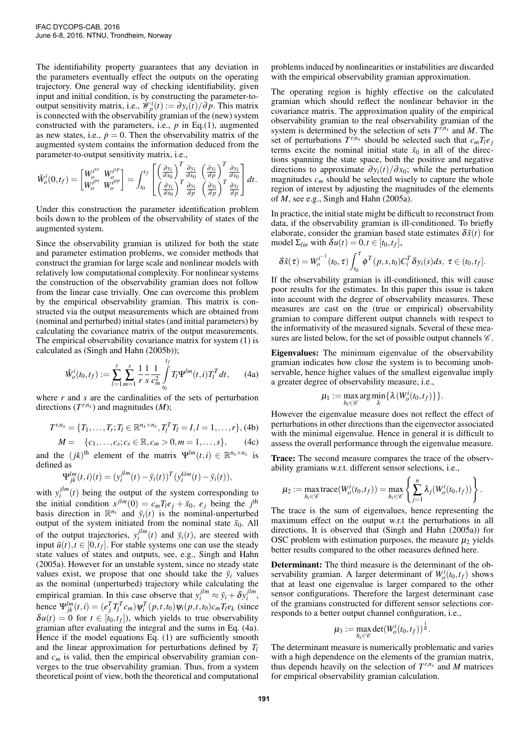The identifiability property guarantees that any deviation in the parameters eventually effect the outputs on the operating trajectory. One general way of checking identifiability, given input and initial condition, is by constructing the parameter-tooutput sensitivity matrix, i.e.,  $\mathscr{W}_{p}^{i}(t) := \partial y_{i}(\overline{t})/\partial p$ . This matrix is connected with the observability gramian of the (new) system constructed with the parameters, i.e.,  $p$  in Eq.(1), augmented as new states, i.e.,  $\dot{p} = 0$ . Then the observability matrix of the augmented system contains the information deduced from the parameter-to-output sensitivity matrix, i.e.,

$$
\bar{W}_o^i(0,t_f) = \begin{bmatrix} W_o^{i^{xx}} & W_o^{i^{xp}} \\ W_o^{i^{px}} & W_o^{i^{pp}} \end{bmatrix} = \int_{t_0}^{t_f} \begin{bmatrix} \left(\frac{\partial y_i}{\partial x_0}\right)^T \frac{\partial y_i}{\partial x_0} & \left(\frac{\partial y_i}{\partial p}\right)^T \frac{\partial y_i}{\partial x_0} \\ \left(\frac{\partial y_i}{\partial x_0}\right)^T \frac{\partial y_i}{\partial p} & \left(\frac{\partial y_i}{\partial p}\right)^T \frac{\partial y_i}{\partial p} \end{bmatrix} dt.
$$

Under this construction the parameter identification problem boils down to the problem of the observability of states of the augmented system.

Since the observability gramian is utilized for both the state and parameter estimation problems, we consider methods that construct the gramian for large scale and nonlinear models with relatively low computational complexity. For nonlinear systems the construction of the observability gramian does not follow from the linear case trivially. One can overcome this problem by the empirical observability gramian. This matrix is constructed via the output measurements which are obtained from (nominal and perturbed) initial states (and initial parameters) by calculating the covariance matrix of the output measurements. The empirical observability covariance matrix for system (1) is calculated as (Singh and Hahn (2005b));

$$
\hat{W}_o^i(t_0, t_f) := \sum_{l=1}^r \sum_{m=1}^s \frac{1}{r} \frac{1}{s} \frac{1}{c_m^2} \int_{t_0}^{t_f} T_l \Psi^{lm}(t, i) T_l^T dt, \qquad (4a)
$$

where *r* and *s* are the cardinalities of the sets of perturbation directions  $(T^{r,n_x})$  and magnitudes  $(M)$ ;

$$
T^{r,n_x} = \{T_1, \ldots, T_r; T_l \in \mathbb{R}^{n_x \times n_x}, T_l^T T_l = I, l = 1, \ldots, r\}, (4b)
$$

$$
M = \{c_1, \ldots, c_s; c_s \in \mathbb{R}, c_m > 0, m = 1, \ldots, s\}, \qquad (4c)
$$

and the  $(jk)$ <sup>th</sup> element of the matrix  $\Psi^{lm}(t,i) \in \mathbb{R}^{n_x \times n_x}$  is defined as

$$
\Psi_{jk}^{lm}(t,i)(t) = (y_i^{jlm}(t) - \bar{y}_i(t))^T (y_i^{klm}(t) - \bar{y}_i(t)),
$$

with  $y_i^{jlm}(t)$  being the output of the system corresponding to the initial condition  $x^{jlm}(0) = c_m T_l e_j + \bar{x}_0$ ,  $e_j$  being the  $j^{th}$ basis direction in  $\mathbb{R}^{n_x}$  and  $\bar{y}_i(t)$  is the nominal-unperturbed output of the system initiated from the nominal state  $\bar{x}_0$ . All of the output trajectories,  $y_i^{jlm}(t)$  and  $\bar{y}_i(t)$ , are steered with input  $\bar{u}(t)$ ,  $t \in [0, t_f]$ . For stable systems one can use the steady state values of states and outputs, see, e.g., Singh and Hahn (2005a). However for an unstable system, since no steady state values exist, we propose that one should take the  $\bar{y}_i$  values as the nominal (unperturbed) trajectory while calculating the empirical gramian. In this case observe that  $y_i^{jlm} \approx \bar{y}_i + \delta y_i^{jlm}$ , hence  $\Psi_{jk}^{lm}(t,i) = (e_j^T T_l^T c_m) \Psi_i^T(p,t,t_0) \Psi_i(p,t,t_0) c_m T_l e_k$  (since  $\delta u(t) = 0$  for  $t \in [t_0, t_f]$ , which yields to true observability gramian after evaluating the integral and the sums in Eq. (4a). Hence if the model equations Eq. (1) are sufficiently smooth and the linear approximation for perturbations defined by *T<sup>l</sup>* and  $c_m$  is valid, then the empirical observability gramian converges to the true observability gramian. Thus, from a system theoretical point of view, both the theoretical and computational

problems induced by nonlinearities or instabilities are discarded with the empirical observability gramian approximation.

The operating region is highly effective on the calculated gramian which should reflect the nonlinear behavior in the covariance matrix. The approximation quality of the empirical observability gramian to the real observability gramian of the system is determined by the selection of sets  $T^{r,n_x}$  and *M*. The set of perturbations  $T^{r,n_x}$  should be selected such that  $c_m T_l e_j$ terms excite the nominal initial state  $\bar{x}_0$  in all of the directions spanning the state space, both the positive and negative directions to approximate  $\partial y_i(t)/\partial x_0$ ; while the perturbation magnitudes  $c_m$  should be selected wisely to capture the whole region of interest by adjusting the magnitudes of the elements of *M*, see e.g., Singh and Hahn (2005a).

In practice, the initial state might be difficult to reconstruct from data, if the observability gramian is ill-conditioned. To briefly elaborate, consider the gramian based state estimates  $\delta \hat{x}(t)$  for model  $\Sigma_{lin}$  with  $\delta u(t) = 0, t \in [t_0, t_f],$ 

$$
\delta \hat{x}(\tau) = W_o^{i^{-1}}(t_0, \tau) \int_{t_0}^{\tau} \phi^T(p, s, t_0) C_i^T \delta y_i(s) ds, \ \tau \in (t_0, t_f].
$$

If the observability gramian is ill-conditioned, this will cause poor results for the estimates. In this paper this issue is taken into account with the degree of observability measures. These measures are cast on the (true or empirical) observability gramian to compare different output channels with respect to the informativity of the measured signals. Several of these measures are listed below, for the set of possible output channels  $\mathscr{C}$ .

Eigenvalues: The minimum eigenvalue of the observability gramian indicates how close the system is to becoming unobservable, hence higher values of the smallest eigenvalue imply a greater degree of observability measure, i.e.,

$$
\mu_1 := \max_{h_i \in \mathscr{C}} \arg \min_{\lambda} \{ \lambda(W_o^i(t_0,t_f)) \}.
$$

However the eigenvalue measure does not reflect the effect of perturbations in other directions than the eigenvector associated with the minimal eigenvalue. Hence in general it is difficult to assess the overall performance through the eigenvalue measure.

Trace: The second measure compares the trace of the observability gramians w.r.t. different sensor selections, i.e.,

$$
\mu_2 := \max_{h_i \in \mathscr{C}} \text{trace}(W^i_o(t_0, t_f)) = \max_{h_i \in \mathscr{C}} \left\{ \sum_{j=1}^n \lambda_j (W^i_o(t_0, t_f)) \right\}.
$$

The trace is the sum of eigenvalues, hence representing the maximum effect on the output w.r.t the perturbations in all directions. It is observed that (Singh and Hahn (2005a)) for OSC problem with estimation purposes, the measure  $\mu_2$  yields better results compared to the other measures defined here.

Determinant: The third measure is the determinant of the observability gramian. A larger determinant of  $W^i_o(t_0, t_f)$  shows that at least one eigenvalue is larger compared to the other sensor configurations. Therefore the largest determinant case of the gramians constructed for different sensor selections corresponds to a better output channel configuration, i.e.,

$$
\mu_3 := \max_{h_i \in \mathscr{C}} \det(W_o^i(t_0, t_f))^{\frac{1}{n}}.
$$

The determinant measure is numerically problematic and varies with a high dependence on the elements of the gramian matrix, thus depends heavily on the selection of  $T^{r,n_x}$  and *M* matrices for empirical observability gramian calculation.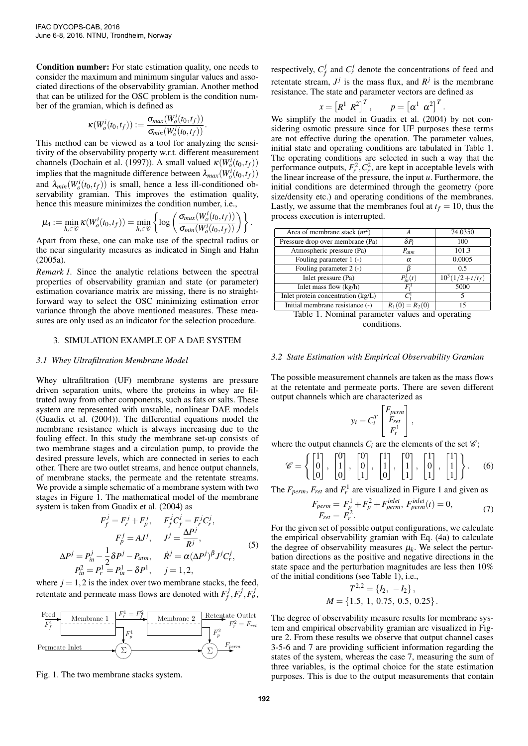Condition number: For state estimation quality, one needs to consider the maximum and minimum singular values and associated directions of the observability gramian. Another method that can be utilized for the OSC problem is the condition number of the gramian, which is defined as

$$
\kappa(W_o^i(t_0,t_f)) := \frac{\sigma_{max}(W_o^i(t_0,t_f))}{\sigma_{min}(W_o^i(t_0,t_f))}.
$$

This method can be viewed as a tool for analyzing the sensitivity of the observability property w.r.t. different measurement channels (Dochain et al. (1997)). A small valued  $\kappa(W_o^i(t_0, t_f))$ implies that the magnitude difference between  $\lambda_{max}(W_o^i(t_0, t_f))$ and  $\lambda_{min}(W_o^i(t_0,t_f))$  is small, hence a less ill-conditioned observability gramian. This improves the estimation quality, hence this measure minimizes the condition number, i.e.,

$$
\mu_4 := \min_{h_i \in \mathscr{C}} \kappa(W^i_o(t_0, t_f)) = \min_{h_i \in \mathscr{C}} \left\{ \log \left( \frac{\sigma_{max}(W^i_o(t_0, t_f))}{\sigma_{min}(W^i_o(t_0, t_f))} \right) \right\}.
$$

Apart from these, one can make use of the spectral radius or the near singularity measures as indicated in Singh and Hahn (2005a).

*Remark 1.* Since the analytic relations between the spectral properties of observability gramian and state (or parameter) estimation covariance matrix are missing, there is no straightforward way to select the OSC minimizing estimation error variance through the above mentioned measures. These measures are only used as an indicator for the selection procedure.

## 3. SIMULATION EXAMPLE OF A DAE SYSTEM

#### *3.1 Whey Ultrafiltration Membrane Model*

Whey ultrafiltration (UF) membrane systems are pressure driven separation units, where the proteins in whey are filtrated away from other components, such as fats or salts. These system are represented with unstable, nonlinear DAE models (Guadix et al. (2004)). The differential equations model the membrane resistance which is always increasing due to the fouling effect. In this study the membrane set-up consists of two membrane stages and a circulation pump, to provide the desired pressure levels, which are connected in series to each other. There are two outlet streams, and hence output channels, of membrane stacks, the permeate and the retentate streams. We provide a simple schematic of a membrane system with two stages in Figure 1. The mathematical model of the membrane system is taken from Guadix et al. (2004) as

$$
F_j^j = F_r^j + F_p^j, \qquad F_j^j C_j^j = F_r^j C_r^j,
$$
  
\n
$$
F_p^j = AJ^j, \qquad J^j = \frac{\Delta P^j}{R^j},
$$
  
\n
$$
\Delta P^j = P_{in}^j - \frac{1}{2} \delta P^j - P_{atm}, \qquad \dot{R}^j = \alpha (\Delta P^j)^{\beta} J^j C_r^j,
$$
  
\n
$$
P_{in}^2 = P_r^1 = P_{in}^1 - \delta P^1, \qquad j = 1, 2,
$$
  
\n(5)

where  $j = 1, 2$  is the index over two membrane stacks, the feed, retentate and permeate mass flows are denoted with  $F_f^j$  $f$ <sup>*f*</sup>, $F_r^j$ , $F_p^j$ ,



Fig. 1. The two membrane stacks system.

respectively,  $C_f^j$  $f$ <sup>*f*</sup> and  $C_r^j$  denote the concentrations of feed and retentate stream,  $J^j$  is the mass flux, and  $R^j$  is the membrane resistance. The state and parameter vectors are defined as

$$
x = [R^1 \ R^2]^T, \qquad p = [\alpha^1 \ \alpha^2]^T.
$$

We simplify the model in Guadix et al. (2004) by not considering osmotic pressure since for UF purposes these terms are not effective during the operation. The parameter values, initial state and operating conditions are tabulated in Table 1. The operating conditions are selected in such a way that the performance outputs,  $F_r^2$ ,  $C_r^2$ , are kept in acceptable levels with the linear increase of the pressure, the input *u*. Furthermore, the initial conditions are determined through the geometry (pore size/density etc.) and operating conditions of the membranes. Lastly, we assume that the membranes foul at  $t_f = 10$ , thus the process execution is interrupted.

| Area of membrane stack $(m^2)$     |                   | 74.0350           |
|------------------------------------|-------------------|-------------------|
| Pressure drop over membrane (Pa)   | $\delta P_i$      | 100               |
| Atmospheric pressure (Pa)          | $P_{atm}$         | 101.3             |
| Fouling parameter $1$ (-)          | $\alpha$          | 0.0005            |
| Fouling parameter 2 (-)            |                   | 0.5               |
| Inlet pressure (Pa)                | $P_{in}^{1}(t)$   | $10^3(1/2+t/t_f)$ |
| Inlet mass flow $(kg/h)$           | F.                | 5000              |
| Inlet protein concentration (kg/L) |                   |                   |
| Initial membrane resistance (-)    | $R_1(0) = R_2(0)$ | 15                |

Table 1. Nominal parameter values and operating conditions.

#### *3.2 State Estimation with Empirical Observability Gramian*

The possible measurement channels are taken as the mass flows at the retentate and permeate ports. There are seven different output channels which are characterized as

$$
y_i = C_i^T \begin{bmatrix} F_{perm} \\ F_{ret} \\ F_r^1 \end{bmatrix},
$$

where the output channels  $C_i$  are the elements of the set  $\mathcal{C}_i$ ;

$$
\mathscr{C} = \left\{ \begin{bmatrix} 1 \\ 0 \\ 0 \end{bmatrix}, \begin{bmatrix} 0 \\ 1 \\ 0 \end{bmatrix}, \begin{bmatrix} 0 \\ 0 \\ 1 \end{bmatrix}, \begin{bmatrix} 1 \\ 1 \\ 0 \end{bmatrix}, \begin{bmatrix} 0 \\ 1 \\ 1 \end{bmatrix}, \begin{bmatrix} 1 \\ 0 \\ 1 \end{bmatrix}, \begin{bmatrix} 1 \\ 1 \\ 1 \end{bmatrix} \right\}. \tag{6}
$$

The  $F_{perm}$ ,  $F_{ret}$  and  $F_r^1$  are visualized in Figure 1 and given as

$$
F_{perm} = F_p^1 + F_p^2 + F_{perm}^{inlet}, F_{perm}^{inlet}(t) = 0,
$$
  
\n
$$
F_{ret} = F_r^2.
$$
 (7)

For the given set of possible output configurations, we calculate the empirical observability gramian with Eq. (4a) to calculate the degree of observability measures  $\mu_k$ . We select the perturbation directions as the positive and negative directions in the state space and the perturbation magnitudes are less then 10% of the initial conditions (see Table 1), i.e.,

$$
T^{2,2} = \{I_2, -I_2\},
$$
  

$$
M = \{1.5, 1, 0.75, 0.5, 0.25\}.
$$

The degree of observability measure results for membrane system and empirical observability gramian are visualized in Figure 2. From these results we observe that output channel cases 3-5-6 and 7 are providing sufficient information regarding the states of the system, whereas the case 7, measuring the sum of three variables, is the optimal choice for the state estimation purposes. This is due to the output measurements that contain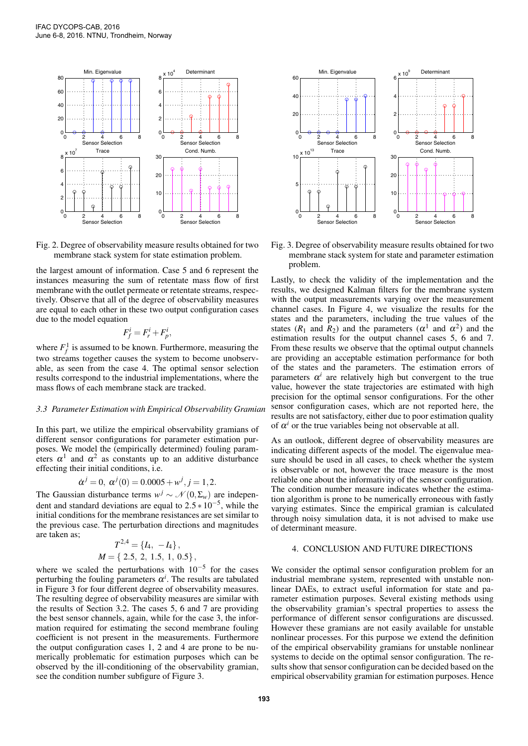

Fig. 2. Degree of observability measure results obtained for two membrane stack system for state estimation problem.

the largest amount of information. Case 5 and 6 represent the instances measuring the sum of retentate mass flow of first membrane with the outlet permeate or retentate streams, respectively. Observe that all of the degree of observability measures are equal to each other in these two output configuration cases due to the model equation

$$
F_f^i = F_r^i + F_p^i,
$$

where  $F_f^1$  is assumed to be known. Furthermore, measuring the two streams together causes the system to become unobservable, as seen from the case 4. The optimal sensor selection results correspond to the industrial implementations, where the mass flows of each membrane stack are tracked.

### *3.3 Parameter Estimation with Empirical Observability Gramian*

In this part, we utilize the empirical observability gramians of different sensor configurations for parameter estimation purposes. We model the (empirically determined) fouling parameters  $\alpha^1$  and  $\alpha^2$  as constants up to an additive disturbance effecting their initial conditions, i.e.

$$
\dot{\alpha}^j = 0, \ \alpha^j(0) = 0.0005 + w^j, j = 1, 2.
$$

The Gaussian disturbance terms  $w^j \sim \mathcal{N}(0, \Sigma_w)$  are independent and standard deviations are equal to  $2.5 * 10^{-5}$ , while the initial conditions for the membrane resistances are set similar to the previous case. The perturbation directions and magnitudes are taken as;

$$
T^{2,4} = \{I_4, -I_4\},
$$
  

$$
M = \{2.5, 2, 1.5, 1, 0.5\},
$$

where we scaled the perturbations with  $10^{-5}$  for the cases perturbing the fouling parameters  $\alpha^i$ . The results are tabulated in Figure 3 for four different degree of observability measures. The resulting degree of observability measures are similar with the results of Section 3.2. The cases 5, 6 and 7 are providing the best sensor channels, again, while for the case 3, the information required for estimating the second membrane fouling coefficient is not present in the measurements. Furthermore the output configuration cases 1, 2 and 4 are prone to be numerically problematic for estimation purposes which can be observed by the ill-conditioning of the observability gramian, see the condition number subfigure of Figure 3.



Fig. 3. Degree of observability measure results obtained for two membrane stack system for state and parameter estimation problem.

Lastly, to check the validity of the implementation and the results, we designed Kalman filters for the membrane system with the output measurements varying over the measurement channel cases. In Figure 4, we visualize the results for the states and the parameters, including the true values of the states ( $R_1$  and  $R_2$ ) and the parameters ( $\alpha^1$  and  $\alpha^2$ ) and the estimation results for the output channel cases 5, 6 and 7. From these results we observe that the optimal output channels are providing an acceptable estimation performance for both of the states and the parameters. The estimation errors of parameters  $\alpha^i$  are relatively high but convergent to the true value, however the state trajectories are estimated with high precision for the optimal sensor configurations. For the other sensor configuration cases, which are not reported here, the results are not satisfactory, either due to poor estimation quality of  $\alpha^i$  or the true variables being not observable at all.

As an outlook, different degree of observability measures are indicating different aspects of the model. The eigenvalue measure should be used in all cases, to check whether the system is observable or not, however the trace measure is the most reliable one about the informativity of the sensor configuration. The condition number measure indicates whether the estimation algorithm is prone to be numerically erroneous with fastly varying estimates. Since the empirical gramian is calculated through noisy simulation data, it is not advised to make use of determinant measure.

## 4. CONCLUSION AND FUTURE DIRECTIONS

We consider the optimal sensor configuration problem for an industrial membrane system, represented with unstable nonlinear DAEs, to extract useful information for state and parameter estimation purposes. Several existing methods using the observability gramian's spectral properties to assess the performance of different sensor configurations are discussed. However these gramians are not easily available for unstable nonlinear processes. For this purpose we extend the definition of the empirical observability gramians for unstable nonlinear systems to decide on the optimal sensor configuration. The results show that sensor configuration can be decided based on the empirical observability gramian for estimation purposes. Hence